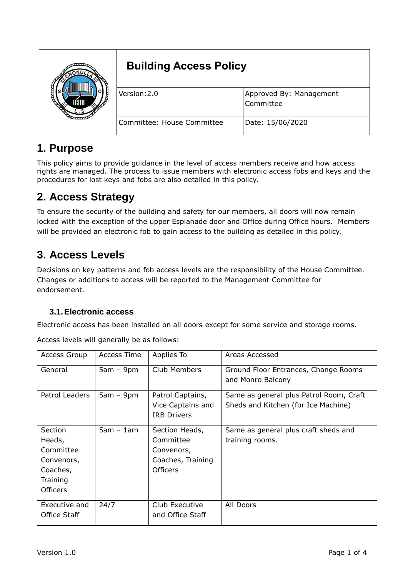|  | <b>Building Access Policy</b> |                                      |  |
|--|-------------------------------|--------------------------------------|--|
|  | Version:2.0                   | Approved By: Management<br>Committee |  |
|  | Committee: House Committee    | Date: 15/06/2020                     |  |

## **1. Purpose**

This policy aims to provide guidance in the level of access members receive and how access rights are managed. The process to issue members with electronic access fobs and keys and the procedures for lost keys and fobs are also detailed in this policy.

## **2. Access Strategy**

To ensure the security of the building and safety for our members, all doors will now remain locked with the exception of the upper Esplanade door and Office during Office hours. Members will be provided an electronic fob to gain access to the building as detailed in this policy.

## **3. Access Levels**

Decisions on key patterns and fob access levels are the responsibility of the House Committee. Changes or additions to access will be reported to the Management Committee for endorsement.

#### **3.1.Electronic access**

Electronic access has been installed on all doors except for some service and storage rooms.

| <b>Access Group</b>                                                                     | Access Time | Applies To                                                                        | Areas Accessed                                                                 |
|-----------------------------------------------------------------------------------------|-------------|-----------------------------------------------------------------------------------|--------------------------------------------------------------------------------|
| General                                                                                 | $5am - 9pm$ | Club Members                                                                      | Ground Floor Entrances, Change Rooms<br>and Monro Balcony                      |
| Patrol Leaders                                                                          | $5am - 9pm$ | Patrol Captains,<br>Vice Captains and<br><b>IRB Drivers</b>                       | Same as general plus Patrol Room, Craft<br>Sheds and Kitchen (for Ice Machine) |
| Section<br>Heads,<br>Committee<br>Convenors,<br>Coaches,<br>Training<br><b>Officers</b> | $5am - 1am$ | Section Heads,<br>Committee<br>Convenors,<br>Coaches, Training<br><b>Officers</b> | Same as general plus craft sheds and<br>training rooms.                        |
| Executive and<br>Office Staff                                                           | 24/7        | Club Executive<br>and Office Staff                                                | All Doors                                                                      |

Access levels will generally be as follows: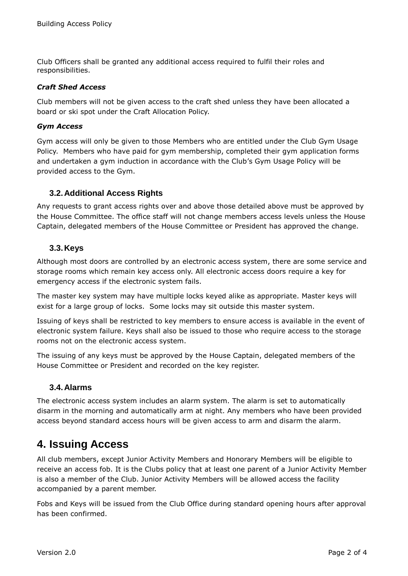Club Officers shall be granted any additional access required to fulfil their roles and responsibilities.

#### *Craft Shed Access*

Club members will not be given access to the craft shed unless they have been allocated a board or ski spot under the Craft Allocation Policy.

#### *Gym Access*

Gym access will only be given to those Members who are entitled under the Club Gym Usage Policy. Members who have paid for gym membership, completed their gym application forms and undertaken a gym induction in accordance with the Club's Gym Usage Policy will be provided access to the Gym.

#### **3.2.Additional Access Rights**

Any requests to grant access rights over and above those detailed above must be approved by the House Committee. The office staff will not change members access levels unless the House Captain, delegated members of the House Committee or President has approved the change.

#### **3.3.Keys**

Although most doors are controlled by an electronic access system, there are some service and storage rooms which remain key access only. All electronic access doors require a key for emergency access if the electronic system fails.

The master key system may have multiple locks keyed alike as appropriate. Master keys will exist for a large group of locks. Some locks may sit outside this master system.

Issuing of keys shall be restricted to key members to ensure access is available in the event of electronic system failure. Keys shall also be issued to those who require access to the storage rooms not on the electronic access system.

The issuing of any keys must be approved by the House Captain, delegated members of the House Committee or President and recorded on the key register.

#### **3.4.Alarms**

The electronic access system includes an alarm system. The alarm is set to automatically disarm in the morning and automatically arm at night. Any members who have been provided access beyond standard access hours will be given access to arm and disarm the alarm.

### **4. Issuing Access**

All club members, except Junior Activity Members and Honorary Members will be eligible to receive an access fob. It is the Clubs policy that at least one parent of a Junior Activity Member is also a member of the Club. Junior Activity Members will be allowed access the facility accompanied by a parent member.

Fobs and Keys will be issued from the Club Office during standard opening hours after approval has been confirmed.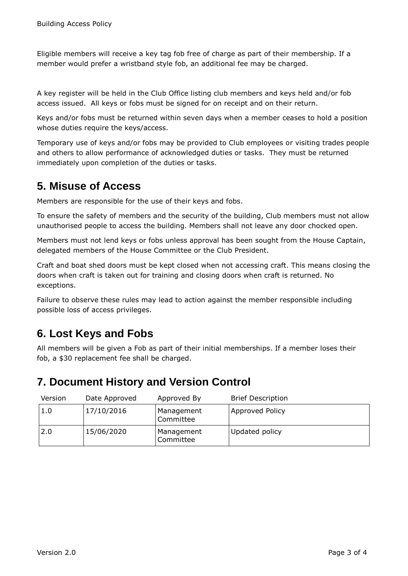Eligible members will receive a key tag fob free of charge as part of their membership. If a member would prefer a wristband style fob, an additional fee may be charged.

A key register will be held in the Club Office listing club members and keys held and/or fob access issued. All keys or fobs must be signed for on receipt and on their return.

Keys and/or fobs must be returned within seven days when a member ceases to hold a position whose duties require the keys/access.

Temporary use of keys and/or fobs may be provided to Club employees or visiting trades people and others to allow performance of acknowledged duties or tasks. They must be returned immediately upon completion of the duties or tasks.

### **5. Misuse of Access**

Members are responsible for the use of their keys and fobs.

To ensure the safety of members and the security of the building, Club members must not allow unauthorised people to access the building. Members shall not leave any door chocked open.

Members must not lend keys or fobs unless approval has been sought from the House Captain, delegated members of the House Committee or the Club President.

Craft and boat shed doors must be kept closed when not accessing craft. This means closing the doors when craft is taken out for training and closing doors when craft is returned. No exceptions.

Failure to observe these rules may lead to action against the member responsible including possible loss of access privileges.

## **6. Lost Keys and Fobs**

All members will be given a Fob as part of their initial memberships. If a member loses their fob, a \$30 replacement fee shall be charged.

### **7. Document History and Version Control**

| Version | Date Approved | Approved By             | <b>Brief Description</b> |
|---------|---------------|-------------------------|--------------------------|
| 1.0     | 17/10/2016    | Management<br>Committee | Approved Policy          |
| 2.0     | 15/06/2020    | Management<br>Committee | Updated policy           |